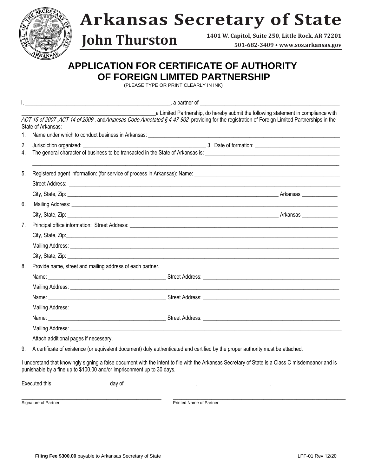

## **Arkansas Secretary of State**

**John Thurston** 

**1401 W. Capitol, Suite 250,** 

**501-682-3409 • www.sos.arkansas.gov**

## **APPLICATION FOR CERTIFICATE OF AUTHORITY OF FOREIGN LIMITED PARTNERSHIP**

(PLEASE TYPE OR PRINT CLEARLY IN INK)

|                         |                                                                                                                                | $\mathsf{l}, \underline{\hspace{1cm}}$                                                                                                                                                                                             |
|-------------------------|--------------------------------------------------------------------------------------------------------------------------------|------------------------------------------------------------------------------------------------------------------------------------------------------------------------------------------------------------------------------------|
|                         | State of Arkansas:                                                                                                             | a Limited Partnership, do hereby submit the following statement in compliance with<br>ACT 15 of 2007, ACT 14 of 2009, and Arkansas Code Annotated § 4-47-902 providing for the registration of Foreign Limited Partnerships in the |
| 1.                      |                                                                                                                                |                                                                                                                                                                                                                                    |
| 2.                      |                                                                                                                                |                                                                                                                                                                                                                                    |
| 4.                      |                                                                                                                                |                                                                                                                                                                                                                                    |
| 5.                      |                                                                                                                                |                                                                                                                                                                                                                                    |
|                         |                                                                                                                                |                                                                                                                                                                                                                                    |
|                         |                                                                                                                                |                                                                                                                                                                                                                                    |
| 6.                      |                                                                                                                                |                                                                                                                                                                                                                                    |
|                         |                                                                                                                                |                                                                                                                                                                                                                                    |
| 7.                      |                                                                                                                                |                                                                                                                                                                                                                                    |
|                         |                                                                                                                                |                                                                                                                                                                                                                                    |
|                         |                                                                                                                                |                                                                                                                                                                                                                                    |
|                         |                                                                                                                                |                                                                                                                                                                                                                                    |
| 8.                      | Provide name, street and mailing address of each partner.                                                                      |                                                                                                                                                                                                                                    |
|                         |                                                                                                                                |                                                                                                                                                                                                                                    |
|                         |                                                                                                                                |                                                                                                                                                                                                                                    |
|                         |                                                                                                                                |                                                                                                                                                                                                                                    |
|                         |                                                                                                                                |                                                                                                                                                                                                                                    |
|                         |                                                                                                                                |                                                                                                                                                                                                                                    |
|                         |                                                                                                                                |                                                                                                                                                                                                                                    |
|                         | Attach additional pages if necessary.                                                                                          |                                                                                                                                                                                                                                    |
| 9.                      | A certificate of existence (or equivalent document) duly authenticated and certified by the proper authority must be attached. |                                                                                                                                                                                                                                    |
|                         | punishable by a fine up to \$100.00 and/or imprisonment up to 30 days.                                                         | I understand that knowingly signing a false document with the intent to file with the Arkansas Secretary of State is a Class C misdemeanor and is                                                                                  |
| Executed this<br>day of |                                                                                                                                |                                                                                                                                                                                                                                    |

Signature of Partner

\_\_\_\_\_\_\_\_\_\_\_\_\_\_\_\_\_\_\_\_\_\_\_\_\_\_\_\_\_\_\_\_\_\_\_\_\_\_\_\_\_\_\_\_\_\_\_\_\_\_\_\_\_\_\_\_\_\_\_\_\_\_\_ Printed Name of Partner

\_\_\_\_\_\_\_\_\_\_\_\_\_\_\_\_\_\_\_\_\_\_\_\_\_\_\_\_\_\_\_\_\_\_\_\_\_\_\_\_\_\_\_\_\_\_\_\_\_\_\_